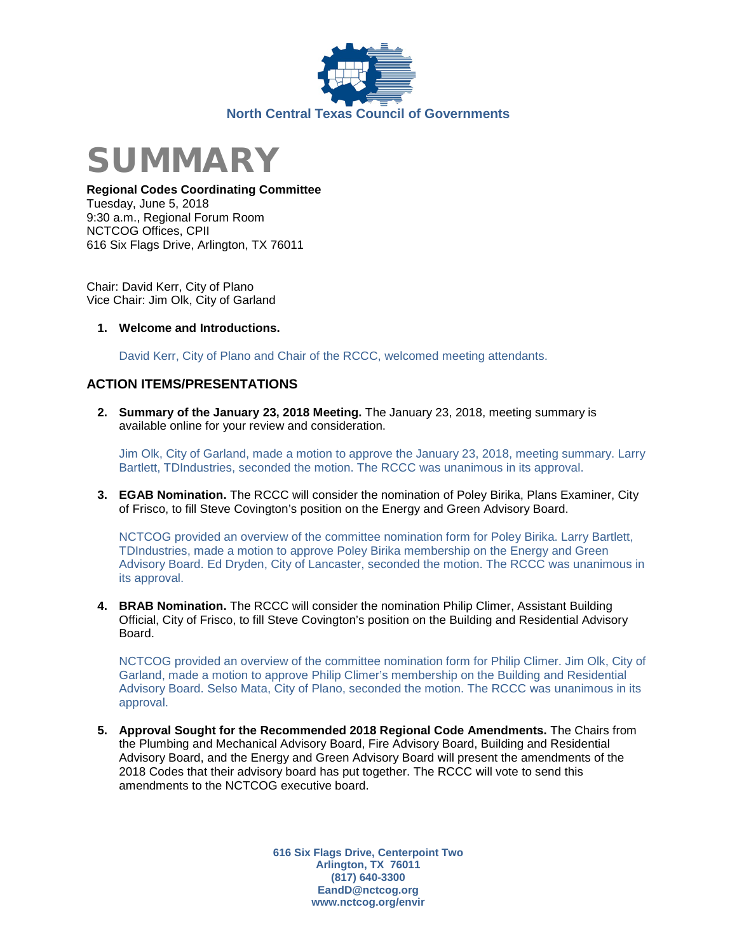



## **Regional Codes Coordinating Committee**

Tuesday, June 5, 2018 9:30 a.m., Regional Forum Room NCTCOG Offices, CPII 616 Six Flags Drive, Arlington, TX 76011

Chair: David Kerr, City of Plano Vice Chair: Jim Olk, City of Garland

**1. Welcome and Introductions.**

David Kerr, City of Plano and Chair of the RCCC, welcomed meeting attendants.

# **ACTION ITEMS/PRESENTATIONS**

**2. Summary of the January 23, 2018 Meeting.** The January 23, 2018, meeting summary is available online for your review and consideration.

Jim Olk, City of Garland, made a motion to approve the January 23, 2018, meeting summary. Larry Bartlett, TDIndustries, seconded the motion. The RCCC was unanimous in its approval.

**3. EGAB Nomination.** The RCCC will consider the nomination of Poley Birika, Plans Examiner, City of Frisco, to fill Steve Covington's position on the Energy and Green Advisory Board.

NCTCOG provided an overview of the committee nomination form for Poley Birika. Larry Bartlett, TDIndustries, made a motion to approve Poley Birika membership on the Energy and Green Advisory Board. Ed Dryden, City of Lancaster, seconded the motion. The RCCC was unanimous in its approval.

**4. BRAB Nomination.** The RCCC will consider the nomination Philip Climer, Assistant Building Official, City of Frisco, to fill Steve Covington's position on the Building and Residential Advisory Board.

NCTCOG provided an overview of the committee nomination form for Philip Climer. Jim Olk, City of Garland, made a motion to approve Philip Climer's membership on the Building and Residential Advisory Board. Selso Mata, City of Plano, seconded the motion. The RCCC was unanimous in its approval.

**5. Approval Sought for the Recommended 2018 Regional Code Amendments.** The Chairs from the Plumbing and Mechanical Advisory Board, Fire Advisory Board, Building and Residential Advisory Board, and the Energy and Green Advisory Board will present the amendments of the 2018 Codes that their advisory board has put together. The RCCC will vote to send this amendments to the NCTCOG executive board.

> **616 Six Flags Drive, Centerpoint Two Arlington, TX 76011 (817) 640-3300 EandD@nctcog.org www.nctcog.org/envir**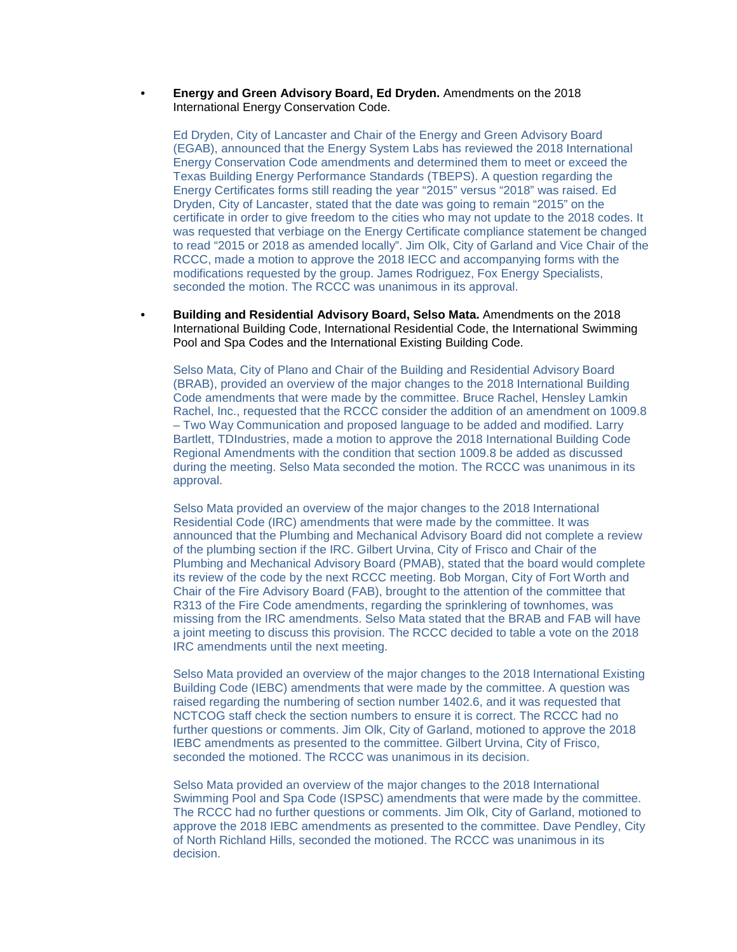#### **• Energy and Green Advisory Board, Ed Dryden.** Amendments on the 2018 International Energy Conservation Code.

Ed Dryden, City of Lancaster and Chair of the Energy and Green Advisory Board (EGAB), announced that the Energy System Labs has reviewed the 2018 International Energy Conservation Code amendments and determined them to meet or exceed the Texas Building Energy Performance Standards (TBEPS). A question regarding the Energy Certificates forms still reading the year "2015" versus "2018" was raised. Ed Dryden, City of Lancaster, stated that the date was going to remain "2015" on the certificate in order to give freedom to the cities who may not update to the 2018 codes. It was requested that verbiage on the Energy Certificate compliance statement be changed to read "2015 or 2018 as amended locally". Jim Olk, City of Garland and Vice Chair of the RCCC, made a motion to approve the 2018 IECC and accompanying forms with the modifications requested by the group. James Rodriguez, Fox Energy Specialists, seconded the motion. The RCCC was unanimous in its approval.

**• Building and Residential Advisory Board, Selso Mata.** Amendments on the 2018 International Building Code, International Residential Code, the International Swimming Pool and Spa Codes and the International Existing Building Code.

Selso Mata, City of Plano and Chair of the Building and Residential Advisory Board (BRAB), provided an overview of the major changes to the 2018 International Building Code amendments that were made by the committee. Bruce Rachel, Hensley Lamkin Rachel, Inc., requested that the RCCC consider the addition of an amendment on 1009.8 – Two Way Communication and proposed language to be added and modified. Larry Bartlett, TDIndustries, made a motion to approve the 2018 International Building Code Regional Amendments with the condition that section 1009.8 be added as discussed during the meeting. Selso Mata seconded the motion. The RCCC was unanimous in its approval.

Selso Mata provided an overview of the major changes to the 2018 International Residential Code (IRC) amendments that were made by the committee. It was announced that the Plumbing and Mechanical Advisory Board did not complete a review of the plumbing section if the IRC. Gilbert Urvina, City of Frisco and Chair of the Plumbing and Mechanical Advisory Board (PMAB), stated that the board would complete its review of the code by the next RCCC meeting. Bob Morgan, City of Fort Worth and Chair of the Fire Advisory Board (FAB), brought to the attention of the committee that R313 of the Fire Code amendments, regarding the sprinklering of townhomes, was missing from the IRC amendments. Selso Mata stated that the BRAB and FAB will have a joint meeting to discuss this provision. The RCCC decided to table a vote on the 2018 IRC amendments until the next meeting.

Selso Mata provided an overview of the major changes to the 2018 International Existing Building Code (IEBC) amendments that were made by the committee. A question was raised regarding the numbering of section number 1402.6, and it was requested that NCTCOG staff check the section numbers to ensure it is correct. The RCCC had no further questions or comments. Jim Olk, City of Garland, motioned to approve the 2018 IEBC amendments as presented to the committee. Gilbert Urvina, City of Frisco, seconded the motioned. The RCCC was unanimous in its decision.

Selso Mata provided an overview of the major changes to the 2018 International Swimming Pool and Spa Code (ISPSC) amendments that were made by the committee. The RCCC had no further questions or comments. Jim Olk, City of Garland, motioned to approve the 2018 IEBC amendments as presented to the committee. Dave Pendley, City of North Richland Hills, seconded the motioned. The RCCC was unanimous in its decision.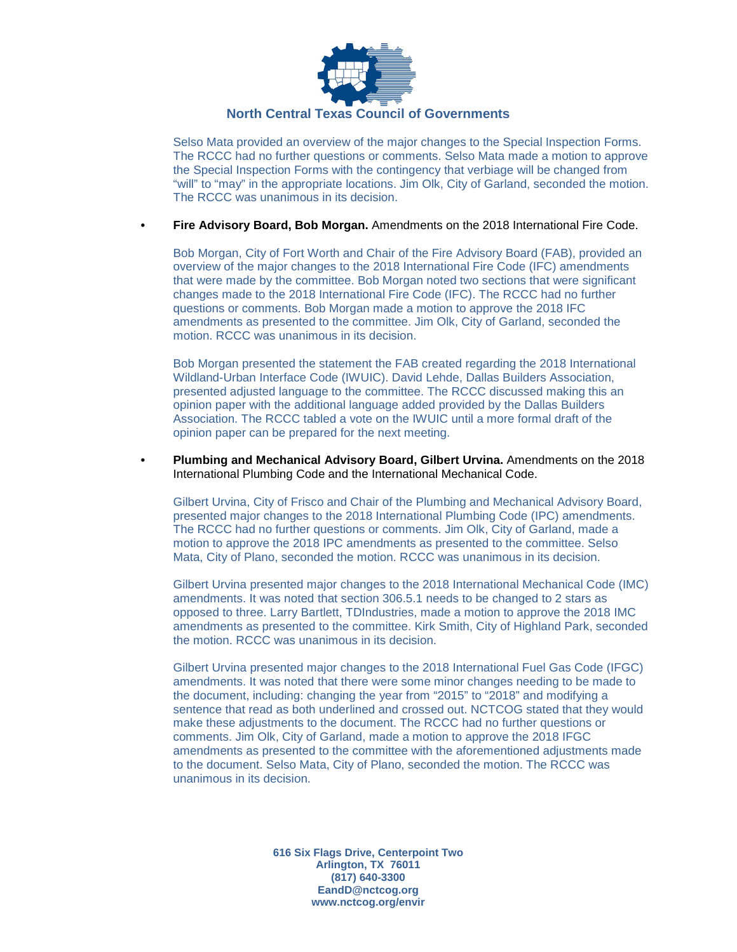

## **North Central Texas Council of Governments**

Selso Mata provided an overview of the major changes to the Special Inspection Forms. The RCCC had no further questions or comments. Selso Mata made a motion to approve the Special Inspection Forms with the contingency that verbiage will be changed from "will" to "may" in the appropriate locations. Jim Olk, City of Garland, seconded the motion. The RCCC was unanimous in its decision.

### **• Fire Advisory Board, Bob Morgan.** Amendments on the 2018 International Fire Code.

Bob Morgan, City of Fort Worth and Chair of the Fire Advisory Board (FAB), provided an overview of the major changes to the 2018 International Fire Code (IFC) amendments that were made by the committee. Bob Morgan noted two sections that were significant changes made to the 2018 International Fire Code (IFC). The RCCC had no further questions or comments. Bob Morgan made a motion to approve the 2018 IFC amendments as presented to the committee. Jim Olk, City of Garland, seconded the motion. RCCC was unanimous in its decision.

Bob Morgan presented the statement the FAB created regarding the 2018 International Wildland-Urban Interface Code (IWUIC). David Lehde, Dallas Builders Association, presented adjusted language to the committee. The RCCC discussed making this an opinion paper with the additional language added provided by the Dallas Builders Association. The RCCC tabled a vote on the IWUIC until a more formal draft of the opinion paper can be prepared for the next meeting.

**• Plumbing and Mechanical Advisory Board, Gilbert Urvina.** Amendments on the 2018 International Plumbing Code and the International Mechanical Code.

Gilbert Urvina, City of Frisco and Chair of the Plumbing and Mechanical Advisory Board, presented major changes to the 2018 International Plumbing Code (IPC) amendments. The RCCC had no further questions or comments. Jim Olk, City of Garland, made a motion to approve the 2018 IPC amendments as presented to the committee. Selso Mata, City of Plano, seconded the motion. RCCC was unanimous in its decision.

Gilbert Urvina presented major changes to the 2018 International Mechanical Code (IMC) amendments. It was noted that section 306.5.1 needs to be changed to 2 stars as opposed to three. Larry Bartlett, TDIndustries, made a motion to approve the 2018 IMC amendments as presented to the committee. Kirk Smith, City of Highland Park, seconded the motion. RCCC was unanimous in its decision.

Gilbert Urvina presented major changes to the 2018 International Fuel Gas Code (IFGC) amendments. It was noted that there were some minor changes needing to be made to the document, including: changing the year from "2015" to "2018" and modifying a sentence that read as both underlined and crossed out. NCTCOG stated that they would make these adjustments to the document. The RCCC had no further questions or comments. Jim Olk, City of Garland, made a motion to approve the 2018 IFGC amendments as presented to the committee with the aforementioned adjustments made to the document. Selso Mata, City of Plano, seconded the motion. The RCCC was unanimous in its decision.

> **616 Six Flags Drive, Centerpoint Two Arlington, TX 76011 (817) 640-3300 EandD@nctcog.org www.nctcog.org/envir**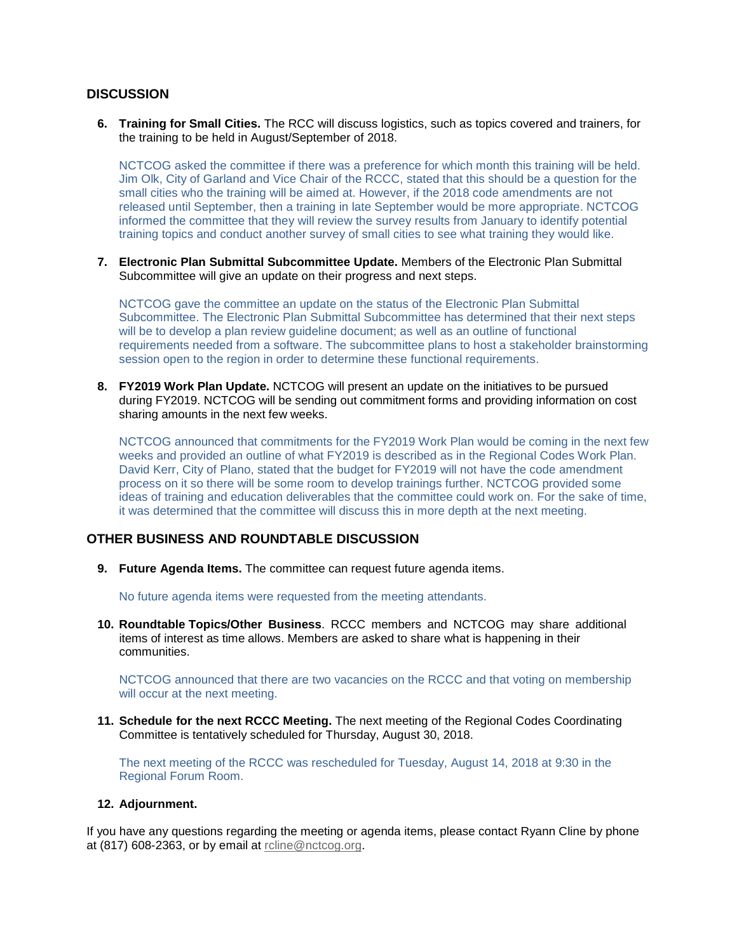# **DISCUSSION**

**6. Training for Small Cities.** The RCC will discuss logistics, such as topics covered and trainers, for the training to be held in August/September of 2018.

NCTCOG asked the committee if there was a preference for which month this training will be held. Jim Olk, City of Garland and Vice Chair of the RCCC, stated that this should be a question for the small cities who the training will be aimed at. However, if the 2018 code amendments are not released until September, then a training in late September would be more appropriate. NCTCOG informed the committee that they will review the survey results from January to identify potential training topics and conduct another survey of small cities to see what training they would like.

**7. Electronic Plan Submittal Subcommittee Update.** Members of the Electronic Plan Submittal Subcommittee will give an update on their progress and next steps.

NCTCOG gave the committee an update on the status of the Electronic Plan Submittal Subcommittee. The Electronic Plan Submittal Subcommittee has determined that their next steps will be to develop a plan review guideline document; as well as an outline of functional requirements needed from a software. The subcommittee plans to host a stakeholder brainstorming session open to the region in order to determine these functional requirements.

**8. FY2019 Work Plan Update.** NCTCOG will present an update on the initiatives to be pursued during FY2019. NCTCOG will be sending out commitment forms and providing information on cost sharing amounts in the next few weeks.

NCTCOG announced that commitments for the FY2019 Work Plan would be coming in the next few weeks and provided an outline of what FY2019 is described as in the Regional Codes Work Plan. David Kerr, City of Plano, stated that the budget for FY2019 will not have the code amendment process on it so there will be some room to develop trainings further. NCTCOG provided some ideas of training and education deliverables that the committee could work on. For the sake of time, it was determined that the committee will discuss this in more depth at the next meeting.

# **OTHER BUSINESS AND ROUNDTABLE DISCUSSION**

**9. Future Agenda Items.** The committee can request future agenda items.

No future agenda items were requested from the meeting attendants.

**10. Roundtable Topics/Other Business**. RCCC members and NCTCOG may share additional items of interest as time allows. Members are asked to share what is happening in their communities.

NCTCOG announced that there are two vacancies on the RCCC and that voting on membership will occur at the next meeting.

**11. Schedule for the next RCCC Meeting.** The next meeting of the Regional Codes Coordinating Committee is tentatively scheduled for Thursday, August 30, 2018.

The next meeting of the RCCC was rescheduled for Tuesday, August 14, 2018 at 9:30 in the Regional Forum Room.

#### **12. Adjournment.**

If you have any questions regarding the meeting or agenda items, please contact Ryann Cline by phone at (817) 608-2363, or by email at [rcline@nctcog.org.](mailto:rcline@nctcog.org)